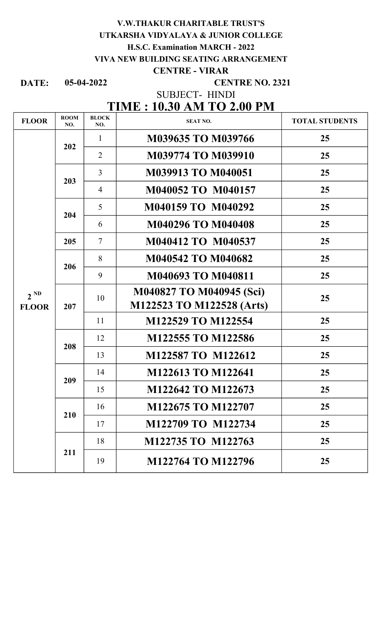## V.W.THAKUR CHARITABLE TRUST'S UTKARSHA VIDYALAYA & JUNIOR COLLEGE H.S.C. Examination MARCH - 2022

### VIVA NEW BUILDING SEATING ARRANGEMENT

#### CENTRE - VIRAR

DATE: 05-04-2022

CENTRE NO. 2321

SUBJECT- HINDI

# TIME : 10.30 AM TO 2.00 PM

| <b>FLOOR</b>             | <b>ROOM</b><br>NO. | <b>BLOCK</b><br>NO. | <b>TOTAL STUDENTS</b><br><b>SEAT NO.</b> |    |
|--------------------------|--------------------|---------------------|------------------------------------------|----|
| $2^{ND}$<br><b>FLOOR</b> | 202                | $\mathbf{1}$        | M039635 TO M039766                       | 25 |
|                          |                    | $\overline{2}$      | <b>M039774 TO M039910</b>                | 25 |
|                          | 203                | $\overline{3}$      | M039913 TO M040051                       | 25 |
|                          |                    | 4                   | M040052 TO M040157                       | 25 |
|                          | 204                | 5                   | M040159 TO M040292                       | 25 |
|                          |                    | 6                   | <b>M040296 TO M040408</b>                | 25 |
|                          | 205                | $\overline{7}$      | M040412 TO M040537                       | 25 |
|                          | 206                | 8                   | <b>M040542 TO M040682</b>                | 25 |
|                          |                    | 9                   | <b>M040693 TO M040811</b>                | 25 |
|                          | 207                | 10                  | M040827 TO M040945 (Sci)                 | 25 |
|                          |                    |                     | M122523 TO M122528 (Arts)                |    |
|                          |                    | 11                  | M122529 TO M122554                       | 25 |
|                          | 208                | 12                  | M122555 TO M122586                       | 25 |
|                          |                    | 13                  | M122587 TO M122612                       | 25 |
|                          | 209                | 14                  | M122613 TO M122641                       | 25 |
|                          |                    | 15                  | M122642 TO M122673                       | 25 |
|                          | 210                | 16                  | M122675 TO M122707                       | 25 |
|                          |                    | 17                  | M122709 TO M122734                       | 25 |
|                          | 211                | 18                  | M122735 TO M122763                       | 25 |
|                          |                    | 19                  | M122764 TO M122796                       | 25 |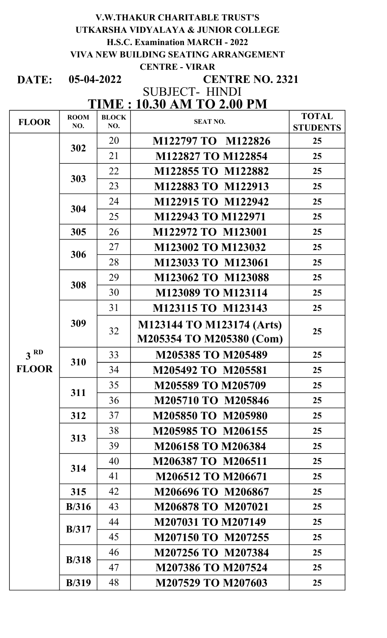## V.W.THAKUR CHARITABLE TRUST'S UTKARSHA VIDYALAYA & JUNIOR COLLEGE H.S.C. Examination MARCH - 2022 VIVA NEW BUILDING SEATING ARRANGEMENT CENTRE - VIRAR

DATE: 05-04-2022

# CENTRE NO. 2321

TIME : 10.30 AM TO 2.00 PM SUBJECT- HINDI

| <b>FLOOR</b>    | <b>ROOM</b><br>NO. | <b>BLOCK</b><br>NO. | <b>SEAT NO.</b>                                       | <b>TOTAL</b>          |
|-----------------|--------------------|---------------------|-------------------------------------------------------|-----------------------|
|                 |                    | 20                  | M122797 TO M122826                                    | <b>STUDENTS</b><br>25 |
|                 | 302                | 21                  | M122827 TO M122854                                    | 25                    |
|                 |                    | 22                  | M122855 TO M122882                                    | 25                    |
|                 | 303                | 23                  | M122883 TO M122913                                    | 25                    |
|                 |                    | 24                  | M122915 TO M122942                                    | 25                    |
|                 | 304                | 25                  | M122943 TO M122971                                    | 25                    |
|                 | 305                | 26                  | M122972 TO M123001                                    | 25                    |
|                 |                    | 27                  | M123002 TO M123032                                    | 25                    |
|                 | 306                | 28                  | M123033 TO M123061                                    | 25                    |
|                 | 308                | 29                  | M123062 TO M123088                                    | 25                    |
|                 |                    | 30                  | M123089 TO M123114                                    | 25                    |
|                 | 309                | 31                  | M123115 TO M123143                                    | 25                    |
|                 |                    | 32                  |                                                       | 25                    |
|                 |                    |                     | M123144 TO M123174 (Arts)<br>M205354 TO M205380 (Com) |                       |
|                 |                    |                     |                                                       |                       |
| 3 <sup>RD</sup> | 310                | 33                  | M205385 TO M205489                                    | 25                    |
| <b>FLOOR</b>    |                    | 34                  | M205492 TO M205581                                    | 25                    |
|                 | 311                | 35                  | M205589 TO M205709                                    | 25                    |
|                 |                    | 36                  | M205710 TO M205846                                    | 25                    |
|                 | 312                | 37                  | M205850 TO M205980                                    | 25                    |
|                 | 313                | 38                  | M205985 TO M206155                                    | 25                    |
|                 |                    | 39                  | M206158 TO M206384                                    | 25                    |
|                 | 314                | 40                  | M206387 TO M206511                                    | 25                    |
|                 |                    | 41                  | M206512 TO M206671                                    | 25                    |
|                 | 315                | 42                  | M206696 TO M206867                                    | 25                    |
|                 | B/316              | 43                  | M206878 TO M207021                                    | 25                    |
|                 | B/317              | 44                  | M207031 TO M207149                                    | 25                    |
|                 |                    | 45                  | M207150 TO M207255                                    | 25                    |
|                 | <b>B</b> /318      | 46                  | M207256 TO M207384                                    | 25                    |
|                 |                    | 47                  | M207386 TO M207524                                    | 25                    |
|                 | B/319              | 48                  | M207529 TO M207603                                    | 25                    |